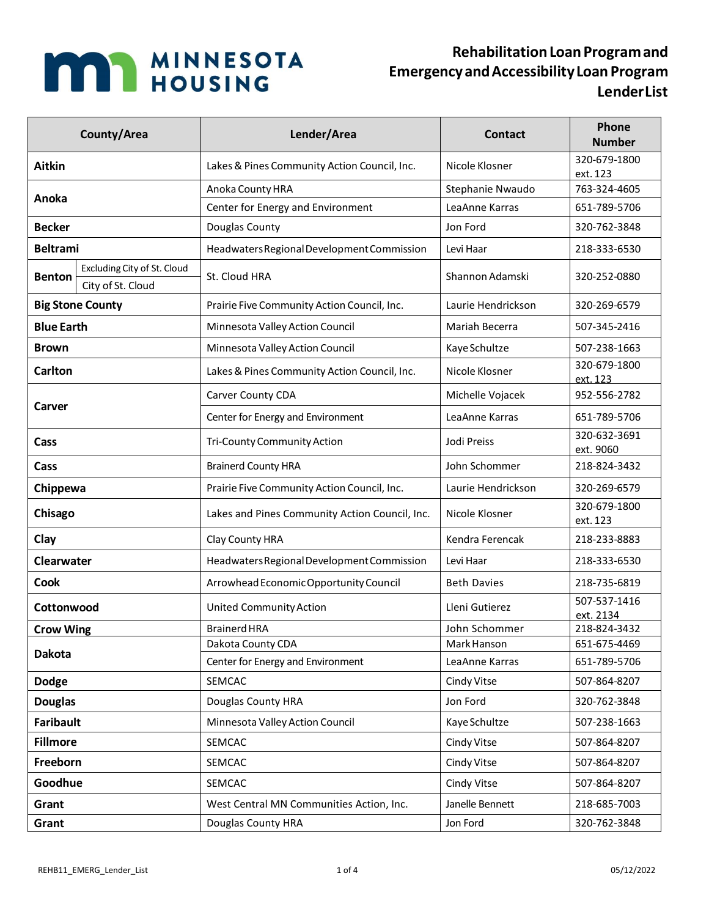

## **RehabilitationLoanProgramand EmergencyandAccessibilityLoan Program LenderList**

| County/Area       |                                                  | Lender/Area                                    | <b>Contact</b>     | Phone<br><b>Number</b>    |
|-------------------|--------------------------------------------------|------------------------------------------------|--------------------|---------------------------|
| <b>Aitkin</b>     |                                                  | Lakes & Pines Community Action Council, Inc.   | Nicole Klosner     | 320-679-1800<br>ext. 123  |
| Anoka             |                                                  | Anoka County HRA                               | Stephanie Nwaudo   | 763-324-4605              |
|                   |                                                  | Center for Energy and Environment              | LeaAnne Karras     | 651-789-5706              |
| <b>Becker</b>     |                                                  | Douglas County                                 | Jon Ford           | 320-762-3848              |
| <b>Beltrami</b>   |                                                  | Headwaters Regional Development Commission     | Levi Haar          | 218-333-6530              |
| <b>Benton</b>     | Excluding City of St. Cloud<br>City of St. Cloud | St. Cloud HRA                                  | Shannon Adamski    | 320-252-0880              |
|                   | <b>Big Stone County</b>                          | Prairie Five Community Action Council, Inc.    | Laurie Hendrickson | 320-269-6579              |
| <b>Blue Earth</b> |                                                  | Minnesota Valley Action Council                | Mariah Becerra     | 507-345-2416              |
| <b>Brown</b>      |                                                  | Minnesota Valley Action Council                | Kaye Schultze      | 507-238-1663              |
| <b>Carlton</b>    |                                                  | Lakes & Pines Community Action Council, Inc.   | Nicole Klosner     | 320-679-1800<br>ext. 123  |
| Carver            |                                                  | Carver County CDA                              | Michelle Vojacek   | 952-556-2782              |
|                   |                                                  | Center for Energy and Environment              | LeaAnne Karras     | 651-789-5706              |
| Cass              |                                                  | Tri-County Community Action                    | Jodi Preiss        | 320-632-3691<br>ext. 9060 |
| Cass              |                                                  | <b>Brainerd County HRA</b>                     | John Schommer      | 218-824-3432              |
| Chippewa          |                                                  | Prairie Five Community Action Council, Inc.    | Laurie Hendrickson | 320-269-6579              |
| Chisago           |                                                  | Lakes and Pines Community Action Council, Inc. | Nicole Klosner     | 320-679-1800<br>ext. 123  |
| Clay              |                                                  | Clay County HRA                                | Kendra Ferencak    | 218-233-8883              |
| <b>Clearwater</b> |                                                  | Headwaters Regional Development Commission     | Levi Haar          | 218-333-6530              |
| <b>Cook</b>       |                                                  | Arrowhead Economic Opportunity Council         | <b>Beth Davies</b> | 218-735-6819              |
| Cottonwood        |                                                  | <b>United Community Action</b>                 | Lleni Gutierez     | 507-537-1416<br>ext. 2134 |
| <b>Crow Wing</b>  |                                                  | <b>Brainerd HRA</b>                            | John Schommer      | 218-824-3432              |
| <b>Dakota</b>     |                                                  | Dakota County CDA                              | Mark Hanson        | 651-675-4469              |
|                   |                                                  | Center for Energy and Environment              | LeaAnne Karras     | 651-789-5706              |
| <b>Dodge</b>      |                                                  | SEMCAC                                         | Cindy Vitse        | 507-864-8207              |
| <b>Douglas</b>    |                                                  | Douglas County HRA                             | Jon Ford           | 320-762-3848              |
| <b>Faribault</b>  |                                                  | Minnesota Valley Action Council                | Kaye Schultze      | 507-238-1663              |
| <b>Fillmore</b>   |                                                  | SEMCAC                                         | Cindy Vitse        | 507-864-8207              |
| Freeborn          |                                                  | SEMCAC                                         | Cindy Vitse        | 507-864-8207              |
| Goodhue           |                                                  | SEMCAC                                         | Cindy Vitse        | 507-864-8207              |
| Grant             |                                                  | West Central MN Communities Action, Inc.       | Janelle Bennett    | 218-685-7003              |
| Grant             |                                                  | Douglas County HRA                             | Jon Ford           | 320-762-3848              |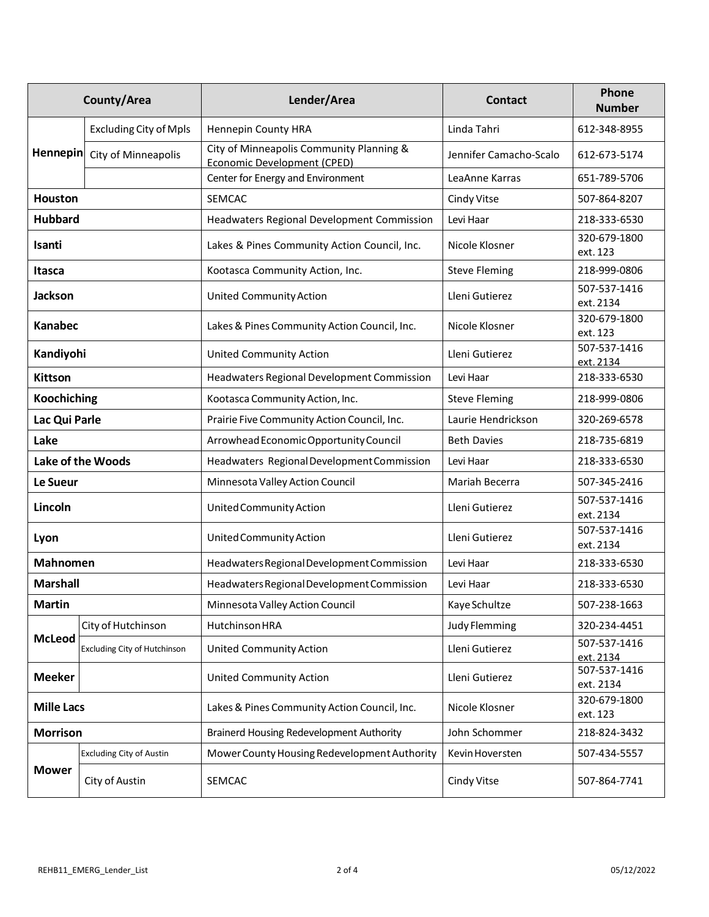| County/Area              |                                     | Lender/Area                                                             | <b>Contact</b>         | Phone<br><b>Number</b>    |
|--------------------------|-------------------------------------|-------------------------------------------------------------------------|------------------------|---------------------------|
| <b>Hennepin</b>          | <b>Excluding City of Mpls</b>       | Hennepin County HRA                                                     | Linda Tahri            | 612-348-8955              |
|                          | City of Minneapolis                 | City of Minneapolis Community Planning &<br>Economic Development (CPED) | Jennifer Camacho-Scalo | 612-673-5174              |
|                          |                                     | Center for Energy and Environment                                       | LeaAnne Karras         | 651-789-5706              |
| <b>Houston</b>           |                                     | SEMCAC                                                                  | Cindy Vitse            | 507-864-8207              |
| <b>Hubbard</b>           |                                     | <b>Headwaters Regional Development Commission</b>                       | Levi Haar              | 218-333-6530              |
| Isanti                   |                                     | Lakes & Pines Community Action Council, Inc.                            | Nicole Klosner         | 320-679-1800<br>ext. 123  |
| Itasca                   |                                     | Kootasca Community Action, Inc.                                         | <b>Steve Fleming</b>   | 218-999-0806              |
| <b>Jackson</b>           |                                     | <b>United Community Action</b>                                          | Lleni Gutierez         | 507-537-1416<br>ext. 2134 |
| <b>Kanabec</b>           |                                     | Lakes & Pines Community Action Council, Inc.                            | Nicole Klosner         | 320-679-1800<br>ext. 123  |
| Kandiyohi                |                                     | <b>United Community Action</b>                                          | Lleni Gutierez         | 507-537-1416<br>ext. 2134 |
| <b>Kittson</b>           |                                     | Headwaters Regional Development Commission                              | Levi Haar              | 218-333-6530              |
| <b>Koochiching</b>       |                                     | Kootasca Community Action, Inc.                                         | <b>Steve Fleming</b>   | 218-999-0806              |
| Lac Qui Parle            |                                     | Prairie Five Community Action Council, Inc.                             | Laurie Hendrickson     | 320-269-6578              |
| Lake                     |                                     | Arrowhead Economic Opportunity Council                                  | <b>Beth Davies</b>     | 218-735-6819              |
| <b>Lake of the Woods</b> |                                     | Headwaters Regional Development Commission                              | Levi Haar              | 218-333-6530              |
| Le Sueur                 |                                     | Minnesota Valley Action Council                                         | Mariah Becerra         | 507-345-2416              |
| Lincoln                  |                                     | United Community Action                                                 | Lleni Gutierez         | 507-537-1416<br>ext. 2134 |
| Lyon                     |                                     | United Community Action                                                 | Lleni Gutierez         | 507-537-1416<br>ext. 2134 |
| <b>Mahnomen</b>          |                                     | Headwaters Regional Development Commission                              | Levi Haar              | 218-333-6530              |
| <b>Marshall</b>          |                                     | Headwaters Regional Development Commission                              | Levi Haar              | 218-333-6530              |
| <b>Martin</b>            |                                     | Minnesota Valley Action Council                                         | Kaye Schultze          | 507-238-1663              |
|                          | City of Hutchinson                  | <b>Hutchinson HRA</b>                                                   | Judy Flemming          | 320-234-4451              |
| <b>McLeod</b>            | <b>Excluding City of Hutchinson</b> | <b>United Community Action</b>                                          | Lleni Gutierez         | 507-537-1416<br>ext. 2134 |
| <b>Meeker</b>            |                                     | <b>United Community Action</b>                                          | Lleni Gutierez         | 507-537-1416<br>ext. 2134 |
| <b>Mille Lacs</b>        |                                     | Lakes & Pines Community Action Council, Inc.                            | Nicole Klosner         | 320-679-1800<br>ext. 123  |
| <b>Morrison</b>          |                                     | <b>Brainerd Housing Redevelopment Authority</b>                         | John Schommer          | 218-824-3432              |
|                          | <b>Excluding City of Austin</b>     | Mower County Housing Redevelopment Authority                            | Kevin Hoversten        | 507-434-5557              |
| <b>Mower</b>             | City of Austin                      | SEMCAC                                                                  | Cindy Vitse            | 507-864-7741              |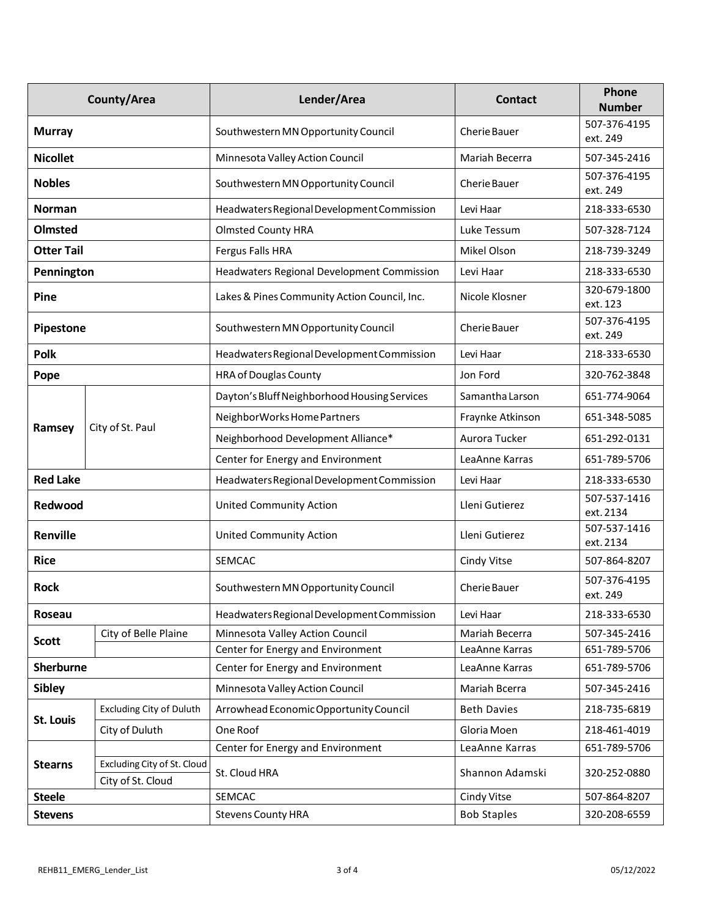|                   | County/Area                     | Lender/Area                                  | <b>Contact</b>     | Phone<br><b>Number</b>    |
|-------------------|---------------------------------|----------------------------------------------|--------------------|---------------------------|
| <b>Murray</b>     |                                 | Southwestern MN Opportunity Council          | Cherie Bauer       | 507-376-4195<br>ext. 249  |
| <b>Nicollet</b>   |                                 | Minnesota Valley Action Council              | Mariah Becerra     | 507-345-2416              |
| <b>Nobles</b>     |                                 | Southwestern MN Opportunity Council          | Cherie Bauer       | 507-376-4195<br>ext. 249  |
| <b>Norman</b>     |                                 | Headwaters Regional Development Commission   | Levi Haar          | 218-333-6530              |
| <b>Olmsted</b>    |                                 | <b>Olmsted County HRA</b>                    | Luke Tessum        | 507-328-7124              |
| <b>Otter Tail</b> |                                 | Fergus Falls HRA                             | Mikel Olson        | 218-739-3249              |
| Pennington        |                                 | Headwaters Regional Development Commission   | Levi Haar          | 218-333-6530              |
| Pine              |                                 | Lakes & Pines Community Action Council, Inc. | Nicole Klosner     | 320-679-1800<br>ext. 123  |
| <b>Pipestone</b>  |                                 | Southwestern MN Opportunity Council          | Cherie Bauer       | 507-376-4195<br>ext. 249  |
| <b>Polk</b>       |                                 | Headwaters Regional Development Commission   | Levi Haar          | 218-333-6530              |
| Pope              |                                 | HRA of Douglas County                        | Jon Ford           | 320-762-3848              |
|                   |                                 | Dayton's Bluff Neighborhood Housing Services | Samantha Larson    | 651-774-9064              |
|                   | City of St. Paul                | NeighborWorks Home Partners                  | Fraynke Atkinson   | 651-348-5085              |
| Ramsey            |                                 | Neighborhood Development Alliance*           | Aurora Tucker      | 651-292-0131              |
|                   |                                 | Center for Energy and Environment            | LeaAnne Karras     | 651-789-5706              |
| <b>Red Lake</b>   |                                 | Headwaters Regional Development Commission   | Levi Haar          | 218-333-6530              |
| Redwood           |                                 | <b>United Community Action</b>               | Lleni Gutierez     | 507-537-1416<br>ext. 2134 |
| Renville          |                                 | <b>United Community Action</b>               | Lleni Gutierez     | 507-537-1416<br>ext. 2134 |
| <b>Rice</b>       |                                 | <b>SEMCAC</b>                                | Cindy Vitse        | 507-864-8207              |
| <b>Rock</b>       |                                 | Southwestern MN Opportunity Council          | Cherie Bauer       | 507-376-4195<br>ext. 249  |
| Roseau            |                                 | Headwaters Regional Development Commission   | Levi Haar          | 218-333-6530              |
| <b>Scott</b>      | City of Belle Plaine            | Minnesota Valley Action Council              | Mariah Becerra     | 507-345-2416              |
|                   |                                 | Center for Energy and Environment            | LeaAnne Karras     | 651-789-5706              |
| <b>Sherburne</b>  |                                 | Center for Energy and Environment            | LeaAnne Karras     | 651-789-5706              |
| <b>Sibley</b>     |                                 | Minnesota Valley Action Council              | Mariah Bcerra      | 507-345-2416              |
| <b>St. Louis</b>  | <b>Excluding City of Duluth</b> | Arrowhead Economic Opportunity Council       | <b>Beth Davies</b> | 218-735-6819              |
|                   | City of Duluth                  | One Roof                                     | Gloria Moen        | 218-461-4019              |
|                   | Excluding City of St. Cloud     | Center for Energy and Environment            | LeaAnne Karras     | 651-789-5706              |
| <b>Stearns</b>    | City of St. Cloud               | St. Cloud HRA                                | Shannon Adamski    | 320-252-0880              |
| <b>Steele</b>     |                                 | <b>SEMCAC</b>                                | Cindy Vitse        | 507-864-8207              |
| <b>Stevens</b>    |                                 | <b>Stevens County HRA</b>                    | <b>Bob Staples</b> | 320-208-6559              |